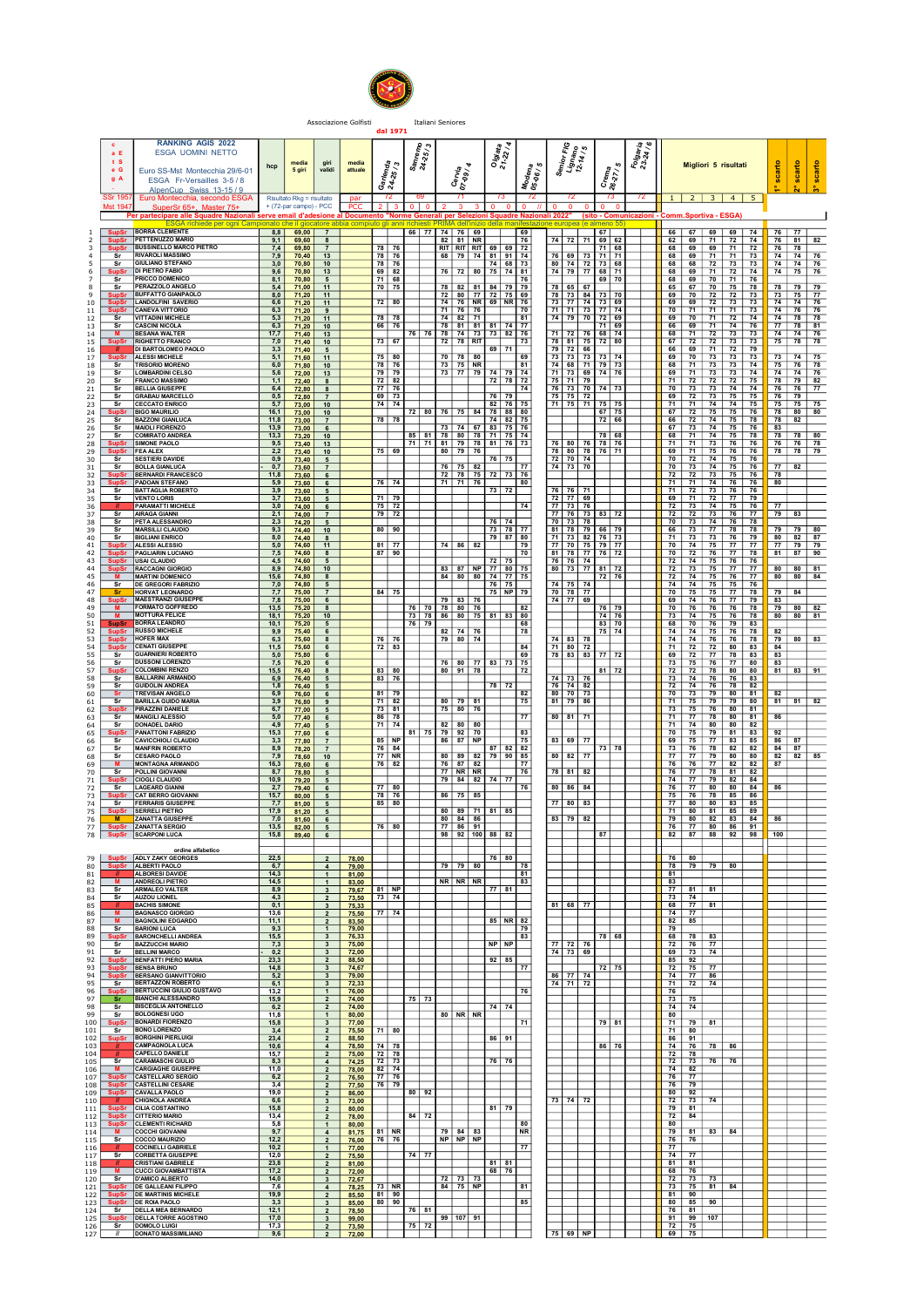

Associazione Golfisti in Italiani Seniores<br>**dal 1971** 

|                     | c<br>a E                                       | <b>RANKING AGIS 2022</b><br><b>ESGA UOMINI NETTO</b>                                                                               |                                |                                |                                                           |                         |                               |                                               |                                                               |    | Olgiata                    |                                               |                                                                  |                                                           | Folgaria |             |                                                                                                   |                                 |                               |                |                                    |                 |
|---------------------|------------------------------------------------|------------------------------------------------------------------------------------------------------------------------------------|--------------------------------|--------------------------------|-----------------------------------------------------------|-------------------------|-------------------------------|-----------------------------------------------|---------------------------------------------------------------|----|----------------------------|-----------------------------------------------|------------------------------------------------------------------|-----------------------------------------------------------|----------|-------------|---------------------------------------------------------------------------------------------------|---------------------------------|-------------------------------|----------------|------------------------------------|-----------------|
|                     | t S<br>e G                                     | Euro SS-Mst Montecchia 29/6-01                                                                                                     | hcp                            | media<br>5 giri                | giri<br>validi                                            | media<br>attuale        | rlenda<br>-25/3               | $\frac{S_{\text{an}r_{\text{emp}}}}{24.25/3}$ | Cervia<br>07-09 / 4                                           |    |                            | Modena<br>05-06 / 5                           | Senior FIG<br>Lignano<br>12-14 / 5                               | Crema<br>26-27 / 5                                        |          |             |                                                                                                   | Migliori 5 risultati            |                               | scarto         | scarto                             | scarto          |
|                     | g A<br><b>SSr 195</b>                          | ESGA Fr-Versailles 3-5/8<br>AlpenCup Swiss 13-15 / 9<br>Euro Montecchia, secondo ESGA                                              |                                | Risultato Rkg = risultato      |                                                           | par                     | ওঁ মুঁ                        |                                               |                                                               |    | 73                         | 72                                            | 72                                                               |                                                           | 72       |             |                                                                                                   | $1 \mid 2 \mid 3 \mid 4 \mid 5$ |                               |                | Ñ.                                 | ိက              |
|                     | <b>Mst 194</b>                                 | SuperSr 65+, Master 75+<br>Per partecipare alle Squadre Nazionali serve email d'adesione al Documento "Norme Genera                |                                | + (72-par campo) - PCC         |                                                           | <b>PCC</b>              |                               |                                               | 3                                                             |    | $\Omega$                   | $\Omega$<br>Selezioni Squadre Nazionali 2022" | $\Omega$                                                         | $\Omega$<br>(sito - Comunicazioni - Comm.Sportiva - ESGA) |          |             |                                                                                                   |                                 |                               |                |                                    |                 |
| 2                   | SupSr<br><b>SupSr</b>                          | ESGA richiede per ogni Campionato che il giocatore abbia compiuto gli anni richiesti.<br><b>BORRA CLEMENTE</b><br>PETTENUZZO MARIO |                                | $8,8$ 69,00 7<br>$9,1$ 69,60 8 |                                                           |                         |                               |                                               | llah AMIRS<br>66 77 74 76 69<br>$82$ 81 NR                    |    |                            | 69<br>76                                      | iizio della manifestazione europea (e almeno :<br>74 72 71 69 62 | 67                                                        |          |             | 66 67 69                                                                                          | 62 69 71 72 74                  | 69 74                         | 76 77          | $76$ 81                            | $\overline{82}$ |
| 3<br>$\overline{a}$ | <b>SupSr</b><br>s <sub>r</sub><br>- Sr         | <b>BUSSINELLO MARCO PIETRO</b><br><b>RIVAROLI MASSIMO</b><br><b>GIULIANO STEFANO</b>                                               | 7,9<br>3.0 <sub>1</sub>        | 7,4 69,80 7<br>70.40           | 13                                                        |                         | 78 76<br>78 76<br>78 76       |                                               | RIT   RIT   RIT   69   69   72<br>68 79 74 81 91              |    | 74 68 73                   | 74                                            | 76<br>69<br>73<br>80 74 72 73 68                                 | 71 68<br>$71$ 71                                          |          | 68          | 68 69 69<br>$69$ 71<br>68 68 72                                                                   | 71                              | 71 72<br>$\overline{73}$      |                | 76 78<br>$74$ 74<br>74 74 76       | 76              |
| 5<br>6<br>7         | <b>SupSr</b><br>Sr                             | <b>DI PIETRO FABIO</b><br>PRICCO DOMENICO                                                                                          | 9,6<br>8,1                     | 70,80<br>70,80<br>70,80        | 10<br>13<br>$5^{\circ}$                                   |                         | 69 82<br>$71$ 68              |                                               | 76 72 80 75 74 81                                             |    |                            | 76                                            | 74 79 77 68 71                                                   | 69 70                                                     |          |             | 68 69 71<br>68 69 70                                                                              |                                 | 73 73<br>72 74<br>71 76       |                | 74 75 76                           |                 |
| 8<br>9<br>10        | Sr<br><b>SupSr</b>                             | <b>PERAZZOLO ANGELO</b><br><b>BUFFATTO GIANPAOLO</b><br><b>LANDOLFINI SAVERIO</b>                                                  | 5,4<br>8,0<br>6.6              | 71,00<br>71,20<br>71,20        | 11<br>11<br>11                                            |                         | 70 75<br>$72$ 80              |                                               | 78 82 81 84 79 79<br>72 80 77 72 75 69<br>74 76 NR 69 NR 76   |    |                            |                                               | 78 65 67<br>78 73 84 73 70<br>73 77 74 73 69                     |                                                           |          |             | 65 67 70<br>$69$ 70 72<br>69 69 72                                                                |                                 | 75 78<br>$72$ 73<br>73 73     |                | 78 79 79<br>$73$ 75 77<br>74 74 76 |                 |
| 11<br>12            | SupSr<br>SupSr<br>Sr                           | <b>CANEVA VITTORIO</b><br><b>VITTADINI MICHELE</b>                                                                                 | 6.3<br>5,3                     | 71,20<br>71,20                 | 9<br>11                                                   |                         | 78 78                         |                                               | $71$ 76 76<br>$74$ 82 71                                      |    |                            | 70<br>81                                      | 71 71 73 77 74<br>74 79 70 72 69                                 |                                                           |          |             | $70$ $71$ $71$                                                                                    | 69 70 71 72 74                  | 71 73                         |                | 74 76 76<br>74 78 78               |                 |
| 13<br>$14$<br>15    | $s_r$<br>M<br><b>SupS</b>                      | <b>CASCINI NICOLA</b><br><b>BESANA WALTER</b><br><b>RIGHETTO FRANCO</b>                                                            | 6.3<br>17,7<br>7,0             | 71,20<br>71,40<br>71.40        | 10<br>13<br>10                                            |                         | 66 76<br>$73$ 67              | 76 76                                         | 78 81 81 81 74 77<br>78 74 73 73 82 76<br>72 78 RIT           |    |                            | 73                                            | 71<br>72<br>76<br>78 81 75 72 80                                 | $71$ 69<br>68 74                                          |          |             | 66 69 71<br>68 71 72<br>67 72 72                                                                  |                                 | $74$ 76<br>73 73<br>$73$ $73$ |                | 77778881<br>74 74 76<br>$75$ 78 78 |                 |
| 16<br>17<br>18      | $\overline{\mathsf{sr}}$                       | DI BARTOLOMEO PAOLO<br>ALESSI MICHELE<br><b>TRISORIO MORENO</b>                                                                    | 3,3<br>5,1<br>6.0              | 71,40<br>71,60<br>71,80        | $5^{\circ}$<br>11<br>10                                   |                         | 75 80<br>$78$ 76              |                                               | 70 78<br>$73$ 75 NR                                           | 80 | 69 71                      | 69<br>81                                      | 79 72 66<br>73<br>73 73<br>74 68 71 79 73                        | 73 74                                                     |          | 69          | $66$ 69 71<br>70<br>68 71 73                                                                      | 73<br>73                        | 72 79<br>73<br>$73$ $74$      |                | 73 74<br>$75$ 76 78                | 75              |
| 19<br>20            | - Sr<br>Sr                                     | <b>LOMBARDINI CELSO</b><br><b>FRANCO MASSIMO</b>                                                                                   | 5,6<br>1,1                     | 72,00<br>72,40                 | 13<br>8                                                   |                         | 79 79<br>$72$ 82              |                                               | 73 77 79                                                      |    | 74 79 74<br>$72$ 78        | 72                                            | 71 73 69 74 76<br>75<br>71<br>179                                |                                                           |          | 71          | $72$ 72                                                                                           | 69   71   73   73   74          | $72$ 75                       |                | 74 74 76<br>78 79                  | 82              |
| 21<br>22<br>23      | Sr<br>$s$ r<br>Sr                              | <b>BELLIA GIUSEPPE</b><br><b>GRABAU MARCELLO</b><br><b>CECCATO ENRICO</b>                                                          | 6.4<br>0,5<br>5,7              | 72,80<br>72,80<br>73,00        | 8<br>$\overline{7}$<br>10                                 |                         | $77$ 76<br>$69$ 73<br>74 74   |                                               |                                                               |    | $76$ 79<br>$82 \mid 76$    | 74<br>75                                      | 76 73 70 74 73<br>75 75 72<br>71 75 71                           | 75 75                                                     |          | 71          | 69 72 73<br>71 74                                                                                 | 70 73 73 74 74                  | $75$ 75<br>74 75              |                | 76 76 77<br>$76$ 79<br>75 75       | 75              |
| 24<br>25            | <b>SupSr</b><br>Sr                             | <b>BIGO MAURILIO</b><br><b>BAZZONI GIANLUCA</b><br><b>MAIOLI FIORENZO</b>                                                          | 16.1<br>11,8                   | 73,00<br>73,00                 | 10<br>$\overline{7}$                                      |                         | 78 78                         | $72$ 80                                       | $76$ 75 84                                                    |    | 78 88 80<br>74 82 75       | 76                                            |                                                                  | $67$ 75<br>72 66                                          |          |             | $67$ 72 75<br>66   72   74                                                                        |                                 | $75$ 76<br>75 78              |                | 78 80<br>78 82                     | 80              |
| 26<br>27<br>28      | Sr<br>Sr<br><b>SupSi</b>                       | <b>COMIRATO ANDREA</b><br><b>SIMONE PAOLO</b>                                                                                      | 13,9<br>13.3<br>9,5            | 73,00<br>73,20<br>73,40        | - 6<br>10<br>13                                           |                         |                               |                                               | $73$ 74<br>85 81 78 80 78 71 75 74<br>71 71 81 79 78 81 76 73 | 67 | 83 75                      |                                               | 76 80 76 78 76                                                   | $78$ $68$                                                 |          |             | 67 73 74<br>$68$ 71 74<br>71 71 73                                                                |                                 | 75 76<br>75 78<br>76 76       | 83             | 78 78 80<br>76 76 78               |                 |
| 29<br>30            | <b>SupSr</b><br>- Sr<br>Sr                     | <b>FEA ALEX</b><br>SESTIERL DAVIDE<br><b>BOLLA GIANLUCA</b>                                                                        | 2,2<br>0.9 <sup>1</sup><br>0,7 | 73,40<br>73,40                 | 10<br>$5\overline{5}$                                     |                         | $75$ 69                       |                                               | 80   79   76<br>$76$ 75 82                                    |    | 76 75                      | 77                                            | 78 80 78 76 71<br>72 70 74<br>74 73 70                           |                                                           |          |             | $69$ 71 75<br>70 72 74                                                                            | 70 73 74 75 76                  | 76 76<br>75 76                |                | 78 78<br>$77$ 82                   | 79              |
| 31<br>32<br>33      |                                                | <b>BERNARDI FRANCESCO</b><br>SupSr BERNARDI FRANCE<br>SupSr PADOAN STEFANO                                                         | 11.8<br>5,9                    | 73,60<br>73,60<br>73,60        | $\overline{7}$<br>6<br>6                                  |                         | $76$ 74                       |                                               | $72$ 78 75<br>$71$ 71 76                                      |    | $72$ 73                    | 76<br>80                                      |                                                                  |                                                           |          |             | $\begin{array}{ c c c c c }\n\hline\n72 & 72 & 73 \\ \hline\n71 & 71 & 74 \\ \hline\n\end{array}$ |                                 | 75 76<br>76 76                | 78 I<br>80     |                                    |                 |
| 34<br>35<br>36      | Sr<br>sr                                       | <b>BATTAGLIA ROBERTO</b><br><b>VENTO LORIS</b><br><b>PARAMATTI MICHELE</b>                                                         | 3,9<br>3.7<br>3,0              | 73,60<br>73,60<br>74,00        | 5<br>5<br>6                                               |                         | 71 79<br>75 72                |                                               |                                                               |    | 73 72                      | 74                                            | 76 76 71<br>$72$ $77$ 69<br>77<br>73 76                          |                                                           |          |             | $71$ 72 73<br>69 71 72<br>$72$ 73 74                                                              | 75                              | 76 76<br>$77$ $79$<br>76      | 77             |                                    |                 |
| 37<br>38            | Sr<br>Sr                                       | <b>AIRAGA GIANNI</b><br><b>PETA ALESSANDRO</b>                                                                                     | 2,1<br>2,3                     | 74.00<br>74.20                 | $\overline{7}$<br>5                                       |                         | 79 72                         |                                               |                                                               |    | 76 74                      |                                               | 77 76 73 83 72<br>70 73 78                                       |                                                           |          |             | $72$ 72 73<br>70 73 74                                                                            |                                 | $76$ $77$<br>76 78            | 79 83          |                                    |                 |
| 39<br>40<br>41      | Sr<br>sr<br><b>SupSr</b>                       | <b>MARSILLI CLAUDIO</b><br><b>BIGLIANI ENRICO</b><br>ALESSI ALESSIO                                                                | 9,3<br>8,0<br>5.0              | 74,40<br>74.40<br>74,60        | 10<br>- 8<br>11                                           |                         | 80 90<br>$81$ 77              |                                               | $74$ 86 82                                                    |    | 73 78<br>79 87             | 77<br>80<br>79                                | 81<br>78<br>79<br>71 73 82 76 73<br>77 70 75 79 77               | 66 79                                                     |          |             | 66 73 77<br>$71$ 73 73<br>70   74   75                                                            | 78                              | 78<br>$76$ 79<br>$77$ $77$    |                | 79 79<br>80 82 87<br>77 79 79      | -80             |
| 42<br>43            | - Su<br><b>SupSr</b>                           | <b>PAGLIARIN LUCIANO</b><br><b>USAI CLAUDIO</b>                                                                                    | 7,5<br>4,5                     | 74,60<br>74,60                 | 8<br>5                                                    |                         | $87$ 90                       |                                               |                                                               |    | $72$ 75                    | 70                                            | 81<br>78 77<br>76 76 74                                          | 76 72                                                     |          | 70          | 72                                                                                                | 76<br>77<br>72 74 75 76 76      | 78                            |                | 81   87                            | 90              |
| 44<br>45<br>46      | <b>SupSr</b><br>sr                             | <b>RACCAGNI GIORGIO</b><br><b>MARTINI DOMENICO</b><br><b>DE GREGORI FABRIZIO</b>                                                   | 8.9<br>15,6<br>7,0             | 74,80<br>74.80<br>74,80        | 10<br>-8<br>5                                             |                         |                               |                                               | $83$ $87$ NP<br>84 80 80                                      |    | 77 80 75<br>74 77<br>76 75 | 75                                            | 80 73 77 81 72<br>74 75 74                                       | 72 76                                                     |          | <b>72</b> l | 72 73 75<br>74 75<br>$74$ 74 75                                                                   | 76                              | $777$ $77$<br>77<br>$75$ 76   |                | 80 80 81<br>80   80                | 84              |
| 47<br>48<br>49      | -Sr<br>$\frac{\text{SupSr}}{\text{M}}$         | <b>HORVAT LEONARDO</b><br><b>MAESTRANZI GIUSEPPE</b><br><b>FORMATO GOFFREDO</b>                                                    | 7,7<br>7,8<br>13,5             | 75,00<br>75,00                 | $\overline{7}$<br>6                                       |                         | 84 75                         |                                               | 79 83<br>76 70 78 80 76                                       | 76 | 75 NP 79                   | 82                                            | 70 78 77<br>74 77<br>69                                          | 76 79                                                     |          | 69          | 70 75 75<br>74 76<br>$70$ 76 76                                                                   | 77                              | 77 78<br>79<br>$76$ 78        | 83             | 79 84<br>$79$ 80                   | $\overline{82}$ |
| 50<br>51            | M<br><b>SupSi</b>                              | <b>MOTTURA FELICE</b><br><b>BORRA LEANDRO</b>                                                                                      | 18,1<br>10,1                   | 75,20<br>75,20<br>75,20        | 8<br>10<br>5                                              |                         |                               | 76 79                                         | 73 78 86 80 75 81 83                                          |    |                            | 80<br>68                                      |                                                                  | 74 76<br>83 70                                            |          |             | 73 74 75<br>68 70 76                                                                              |                                 | 76 78<br>79 83                |                | 80 80 81                           |                 |
| 52<br>53<br>54      | <b>SupSr</b><br><b>SupSi</b><br><b>SupSr</b>   | <b>RUSSO MICHELE</b><br><b>HOFER MAX</b><br><b>CENATI GIUSEPPE</b>                                                                 | 9.9<br>6,3<br>11.5             | 75,40<br>75,60                 | 6<br>8                                                    |                         | $76$ 76<br>$72$ 83            |                                               | $82$ 74 76<br>79 80 74                                        |    |                            | 78<br>84                                      | 74 83 78<br>71 80 72                                             | 75 74                                                     |          |             | 74 74 75<br>74 74 76<br>71 72 72                                                                  |                                 | 76 78<br>76 78<br>80 83       | 82<br>79<br>84 | 80                                 | 83              |
| 55<br>56            | Sr<br>Sr                                       | <b>GUARNIERI ROBERTO</b><br><b>DUSSONI LORENZO</b>                                                                                 | 5.0<br>7,5                     | 75,60<br>75,80<br>76,20        | 6<br>6<br>6                                               |                         |                               |                                               | 76 80 77                                                      |    | 83 73                      | 69<br>75                                      | 78 83 83                                                         | 77 72                                                     |          |             | 69 72 77                                                                                          | 73 75 76 77 80                  | 78 83                         | 83<br>83       |                                    |                 |
| 57<br>58<br>59      | $rac{\text{SupSr}}{\text{Sr}}$<br>Sr           | <b>COLOMBINI RENZO</b><br><b>BALLARINI ARMANDO</b><br><b>GUIDOLIN ANDREA</b>                                                       | 15.5<br>6.9<br>1,8             | 76,40<br>76,40<br>76,40        | 8<br>$5\overline{5}$<br>5                                 |                         | $83$ 80<br>83 76              |                                               | 80 91 78                                                      |    | 78 72                      | 72                                            | 74 73 76<br>76 74 82                                             | 81 72                                                     |          |             | 72 72 78<br>$73$ 74 76<br>$72$ 74 76                                                              |                                 | 80 80<br>76 83<br>78 82       |                | 81   83                            | 91              |
| 60<br>61            | - Sr<br>Sr                                     | <b>TREVISAN ANGELO</b><br><b>BARILLA GUIDO MARIA</b>                                                                               | 6.9<br>3,9                     | 76,60<br>76,80                 | 6<br>$\boldsymbol{9}$                                     |                         | $81$ 79<br>71 82              |                                               | $80$ 79 81                                                    |    |                            | 82<br>75                                      | 80 70 73<br>81 79 86                                             |                                                           |          |             | 70 73 79<br>71 75 79                                                                              | 79                              | $80$ $81$<br>80               | 82             | $81$ $81$                          | 82              |
| 62<br>63<br>64      | <b>SupSr</b><br>- Sr<br>Sr                     | PIRAZZINI DANIELE<br><b>MANGILI ALESSIO</b><br><b>DONADEL DARIO</b>                                                                | 6,7<br>5,0<br>4,9              | 77,00<br>77,40<br>77,40        | 5<br>6<br>5                                               |                         | 73 81<br>86 78<br>71 74       |                                               | 75 80 76<br>$82$ 80                                           | 80 |                            | 77                                            | 80 81 71                                                         |                                                           |          |             | 73 75 76<br>71 77 78<br>71 74 80                                                                  | 80                              | $80$ $81$<br>80 81<br>82      | 86             |                                    |                 |
| 65<br>66            | <b>SupSr</b><br>- Sr                           | <b>PANATTONI FABRIZIO</b><br><b>CAVICCHIOLI CLAUDIO</b>                                                                            | 15,3<br>3.3 <sup>1</sup>       | 77.60<br>77,80                 | 6<br>$\overline{7}$                                       |                         | $85$ NP                       |                                               | 81 75 79 92 70<br>86 87 NP                                    |    |                            | 83<br>75                                      | 83 69 77                                                         |                                                           |          |             | $70$ 75 79<br>69   75   77                                                                        |                                 | $81$ $83$<br>83 85            | 92<br>86 87    |                                    |                 |
| 67<br>68<br>69      | Sr<br>Sr<br><b>M</b>                           | <b>MANFRIN ROBERTO</b><br><b>CESARO PAOLO</b><br><b>MONTAGNA ARMANDO</b>                                                           | 8,9<br>7,9<br>16,3             | 78,20<br>78,60<br>78,60        | $\overline{7}$<br>10<br>$6\overline{6}$                   |                         | 76 84<br>$77$ NR<br>76 82     |                                               | 80 89 82 79 90 85<br>76 87 82                                 |    | 87<br>82                   | 82<br>77                                      | 80 82 77                                                         | 73 78                                                     |          | 73          | 76 78<br>$77$ $77$ $79$<br>76 76 77                                                               | 82                              | 82<br>80 80<br>$82$ $82$      | $84$ 87<br>87  | $82 \mid 82 \mid$                  | 85              |
| 70<br>71            | Sr<br><b>SupSr</b>                             | POLLINI GIOVANNI<br><b>CIOGLI CLAUDIO</b>                                                                                          | 8,7<br>10,9                    | 78.80<br>79,20                 | 5<br>5                                                    |                         |                               |                                               | 77 NR NR<br>79 84 82 74 77                                    |    |                            | 76                                            | 78 81<br>82                                                      |                                                           |          | 76 I        | 77   78<br>$74$ $77$ $79$                                                                         |                                 | 81 82<br>$82$ $84$            |                |                                    |                 |
| 72<br>73<br>74      | Sr<br><b>SupSi</b><br>- Sr                     | <b>LAGEARD GIANNI</b><br><b>CAT BERRO GIOVANNI</b><br><b>FERRARIS GIUSEPPE</b>                                                     | 2,7<br>15,7<br>7.7             | 79,40<br>80,00<br>81,00        | 6<br>5<br>$5\overline{5}$                                 |                         | 77 80<br>78 76<br>$85$ 80     |                                               | 86 75 85                                                      |    |                            | 76                                            | 80 86 84<br>77 80 83                                             |                                                           |          | 75          | 76 77 80<br>76 78<br>77   80   80                                                                 |                                 | 80 84<br>85 86<br>83 85       | 86             |                                    |                 |
| 75<br>76            | <b>SupSi</b>                                   | <b>SERRELI PIETRO</b><br><b>ZANATTA GIUSEPPE</b>                                                                                   | 7,0                            | 17,9 81,20<br>81.60            | 5<br>- 6                                                  |                         |                               |                                               | 80 89 71<br>$80$ $84$ $86$                                    |    | 81 85                      |                                               | 83<br>82<br>79                                                   |                                                           |          |             | 71 80 81<br>79 80 82                                                                              |                                 | 85 89<br>$83 \mid 84$         | 86             |                                    |                 |
| 77                  |                                                | SupSr ZANATTA SERGIO<br>78   SupSr SCARPONI LUCA                                                                                   |                                | $13,5$ 82,00<br>15,8 89,40     | 5<br>6                                                    |                         | 76 80                         |                                               | 77   86   91<br>98 92 100 88 82                               |    |                            |                                               |                                                                  | 87                                                        |          |             | 82   87   88                                                                                      | 76 77 80 86 91                  | $92$ 98                       | 100            |                                    |                 |
|                     |                                                | ordine alfabetico<br>79   SupSr   ADLY ZAKY GEORGES                                                                                | 22,5<br>6,7                    |                                |                                                           | 78,00                   |                               |                                               | $79$ 79                                                       | 80 | 76 80                      | 78                                            |                                                                  |                                                           |          |             | $76$ 80<br>78 79 79                                                                               | 80                              |                               |                |                                    |                 |
| 80<br>81<br>82      | M <sub>1</sub>                                 | SupSr ALBERTI PAOLO<br><b>ALBORESI DAVIDE</b><br><b>ANDREOLI PIETRO</b>                                                            | 14,3<br>14,5                   |                                | $\overline{4}$<br>$\mathbf{1}$<br>$\mathbf{1}$            | 79,00<br>81,00<br>83,00 |                               |                                               | NR NR NR                                                      |    |                            | 81<br>83                                      |                                                                  |                                                           |          | 81<br>83    |                                                                                                   |                                 |                               |                |                                    |                 |
| 83<br>84            | $s_r$<br>Sr                                    | <b>ARMALEO VALTER</b><br><b>AUZOU LIONEL</b>                                                                                       | 8,9<br>4,3                     |                                | $\mathbf{3}$<br>$\overline{2}$                            | 79.67<br>73,50          | $81$ NP<br>73 74              |                                               |                                                               |    | $77$ 81                    |                                               |                                                                  |                                                           |          |             | $77$ 81 81<br>73 74<br>$68$ 77 81                                                                 |                                 |                               |                |                                    |                 |
| 85<br>86<br>87      | $^{\prime}$<br>M<br><b>M</b>                   | <b>BACHIS SIMONE</b><br><b>BAGNASCO GIORGIO</b><br><b>BAGNOLINI EDGARDO</b>                                                        | 0,1<br>13.6<br>11,1            |                                | $\mathbf{3}$<br>$\overline{2}$<br>$\overline{2}$          | 75,33<br>75,50<br>83,50 | 77 74                         |                                               |                                                               |    | 85 NR                      | 82                                            | $81$ 68 77                                                       |                                                           |          |             | 74 77<br>82 85                                                                                    |                                 |                               |                |                                    |                 |
| 88<br>89<br>90      | Sr<br><b>SupSr</b><br>Sr                       | <b>BARIONI LUCA</b><br><b>BARONCHELLI ANDREA</b><br><b>BAZZUCCHI MARIO</b>                                                         | 9,3<br>15,5<br>7,3             |                                | $\overline{1}$<br>$\mathbf{3}$                            | 79,00<br>76,33          |                               |                                               |                                                               |    | $NP$ $NP$                  | 79<br>83                                      | 77 72<br>76                                                      | 78 68                                                     |          | 79          | 68 78 83<br>$72$ 76 77                                                                            |                                 |                               |                |                                    |                 |
| 91<br>92            | Sr                                             | <b>BELLINI MARCO</b><br>SupSr BENFATTI PIERO MARIA                                                                                 | 0,2<br>23,3                    |                                | $\mathbf{3}$<br>$\mathbf{3}$<br>$\overline{2}$            | 75,00<br>72,00<br>88,50 |                               |                                               |                                                               |    | $92$ 85                    |                                               | 74 73 69                                                         |                                                           |          |             | 69 73 74<br>$85$ 92                                                                               |                                 |                               |                |                                    |                 |
| 93<br>94            | SupSr<br>SupSr                                 | <b>BENSA BRUNO</b><br><b>BERSANO GIANVITTORIO</b><br>BERTAZZON ROBERTO                                                             | 14,8<br>5,2                    |                                | $\mathbf{3}$<br>$\overline{\mathbf{3}}$                   | 74,67<br>79,00          |                               |                                               |                                                               |    |                            | 77                                            | 86 77 74                                                         | 72 75                                                     |          |             | $72$ 75 77<br>$74$ $77$ 86                                                                        |                                 |                               |                |                                    |                 |
| 95<br>96<br>97      | Sr<br><b>SupSr</b><br>Sr                       | BERTUCCINI GIULIO GUSTAVO<br><b>BIANCHI ALESSANDRO</b>                                                                             | 6,1<br>13,2<br>15.9            |                                | 3<br>$\mathbf{1}$<br>$\overline{2}$                       | 72,33<br>76.00<br>74,00 |                               | 75 73                                         |                                                               |    |                            | 76                                            | 74 71 72                                                         |                                                           |          | 76          | 71 72 74<br>$73 \mid 75$                                                                          |                                 |                               |                |                                    |                 |
| 98<br>99            | Sr<br>sr                                       | <b>BISCEGLIA ANTONELLO</b><br><b>BOLOGNESI UGO</b><br><b>BONARDI FIORENZO</b>                                                      | 6,2<br>11,8<br>15,8            |                                | $\overline{2}$<br>$\overline{1}$                          | 74,00<br>80,00          |                               |                                               | 80 NR NR                                                      |    | 74 74                      | 71                                            |                                                                  | 79 81                                                     |          | 80          | 74 74<br>$71$ 79 81                                                                               |                                 |                               |                |                                    |                 |
| 100<br>101<br>102   | $rac{\text{SupSr}}{\text{Si}}$<br><b>SupSr</b> | <b>BONO LORENZO</b><br><b>BORGHINI PIERLUIGI</b>                                                                                   | 3,4<br>23,4                    |                                | $\mathbf{3}$<br>$\overline{2}$<br>$\overline{2}$          | 77,00<br>75,50<br>88,50 | $71$ 80                       |                                               |                                                               |    | $86$   91                  |                                               |                                                                  |                                                           |          |             | $71$ 80<br>$86$   91                                                                              |                                 |                               |                |                                    |                 |
| 103<br>104<br>105   | sr                                             | <b>CAMPAGNOLA LUCA</b><br><b>CAPELLO DANIELE</b><br><b>CARAMASCHI GIULIO</b>                                                       | 10,6<br>15,7<br>8,3            |                                | $\overline{4}$<br>$\overline{2}$<br>$\overline{a}$        | 78,50<br>75,00          | $74$ 78<br>$72$ 78<br>$72$ 73 |                                               |                                                               |    | $76$ 76                    |                                               |                                                                  | $86$ 76                                                   |          |             | $74$ 76 78<br>$72$ 78<br>$72$ 73 76                                                               | 86<br>76                        |                               |                |                                    |                 |
| 106<br>107          | <b>M</b><br>SupSr                              | <b>CARGIAGHE GIUSEPPE</b><br><b>CASTELLARO SERGIO</b>                                                                              | 11,0<br>6,2                    |                                | $\overline{2}$<br>$\overline{2}$                          | 74.25<br>78,00<br>76,50 | 82 74<br>77 76                |                                               |                                                               |    |                            |                                               |                                                                  |                                                           |          |             | 74 82<br>$76$ $77$                                                                                |                                 |                               |                |                                    |                 |
| 108<br>109<br>110   | $\blacksquare$                                 | SupSr CASTELLINI CESARE<br><b>CHIGNOLA ANDREA</b>                                                                                  | 3,4<br>19,0<br>6,6             |                                | $\overline{2}$<br>$\overline{\mathbf{2}}$<br>$\mathbf{3}$ | 77,50<br>86,00<br>73,00 | 76 79                         | 80 92                                         |                                                               |    |                            |                                               | 73 74 72                                                         |                                                           |          |             | 76 79<br>80 92<br>$72$ 73 74                                                                      |                                 |                               |                |                                    |                 |
| 112                 |                                                | 111 SupSr CILIA COSTANTINO<br>112 SupSr CITTERIO MARIO                                                                             | 15,8<br>13,4                   |                                | $\overline{2}$<br>$\overline{2}$                          | 80,00<br>78,00          |                               | $84$ 72                                       |                                                               |    | $81$ 79                    |                                               |                                                                  |                                                           |          |             | 79   81  <br>$72$ 84                                                                              |                                 |                               |                |                                    |                 |
| 113<br>114<br>115   | M<br>Sr                                        | SupSr CLEMENTI RICHARD<br><b>COCCHI GIOVANNI</b><br><b>COCCO MAURIZIO</b>                                                          | 5,8<br>9,7<br>12,2             |                                | $\overline{1}$<br>$\overline{4}$<br>$\overline{2}$        | 80,00<br>81,75<br>76,00 | $81$ NR<br>76 76              |                                               | $79$ 84 83<br>$NP$ $NP$ $NP$                                  |    |                            | 80<br><b>NR</b>                               |                                                                  |                                                           |          | 80 I        | $79$ 81 83<br>$76$ 76                                                                             | 84                              |                               |                |                                    |                 |
| 116                 | $\blacksquare$<br>$117$ Sr                     | <b>COCINELLI GABRIELE</b><br><b>CORBETTA GIUSEPPE</b>                                                                              | 10,2<br>12,0                   |                                | $\overline{1}$<br>$\overline{2}$                          | 77,00<br>75,50          |                               | 74 77                                         |                                                               |    |                            | 77                                            |                                                                  |                                                           |          | 77          | 74 77                                                                                             |                                 |                               |                |                                    |                 |
| 118<br>119<br>120   | Sr                                             | <b>CRISTIANI GABRIELE</b><br>M CUCCI GIOVAMBATTISTA<br><b>D'AMICO ALBERTO</b>                                                      | 23,8<br>17,2<br>14,0           |                                | $\overline{2}$<br>$\mathbf{3}$                            | 81,00<br>72.00<br>72,67 |                               |                                               | 72 73 73                                                      |    | $81$ 81<br>68 76           |                                               |                                                                  |                                                           |          |             | 81 81<br>68 76<br>72 73 73                                                                        |                                 |                               |                |                                    |                 |
| 121<br>122          |                                                | <b>SupSr DE GALLEANI FILIPPO</b><br>SupSr DE MARTINIS MICHELE                                                                      | 7,6<br>19.9                    |                                | $\overline{4}$<br>$\overline{2}$                          | 78.25<br>85,50          | $73$ NR<br>81 90              |                                               | 84 75 NP                                                      |    |                            | 81                                            |                                                                  |                                                           |          |             | $73$ 75 81<br>81 90 1                                                                             | 84                              |                               |                |                                    |                 |
| 123<br>124<br>125   | Sr                                             | SupSr DE ROIA PAOLO<br><b>DELLA MEA BERNARDO</b><br><b>SupSr</b> DELLA TORRE AGOSTINO                                              | 3,3<br>12,1<br>17,0            |                                | 3<br>$\overline{2}$<br>$\mathbf{3}$                       | 85,00<br>78,50<br>99,00 | 80 90                         | 76 81                                         | 99   107   91                                                 |    |                            | 85                                            |                                                                  |                                                           |          |             | 80 85 90<br>$76$ 81<br>$91$ 99 107                                                                |                                 |                               |                |                                    |                 |
| 126<br>127          | Sr<br>$\frac{1}{2}$                            | DOMOLO LUIGI<br><b>DONATO MASSIMILIANO</b>                                                                                         | 17,3<br>9,6                    |                                |                                                           | 73,50<br>72,00          |                               | $75$ 72                                       |                                                               |    |                            |                                               | 75 69 NP                                                         |                                                           |          |             | $72$ 75<br>$69$ 75                                                                                |                                 |                               |                |                                    |                 |